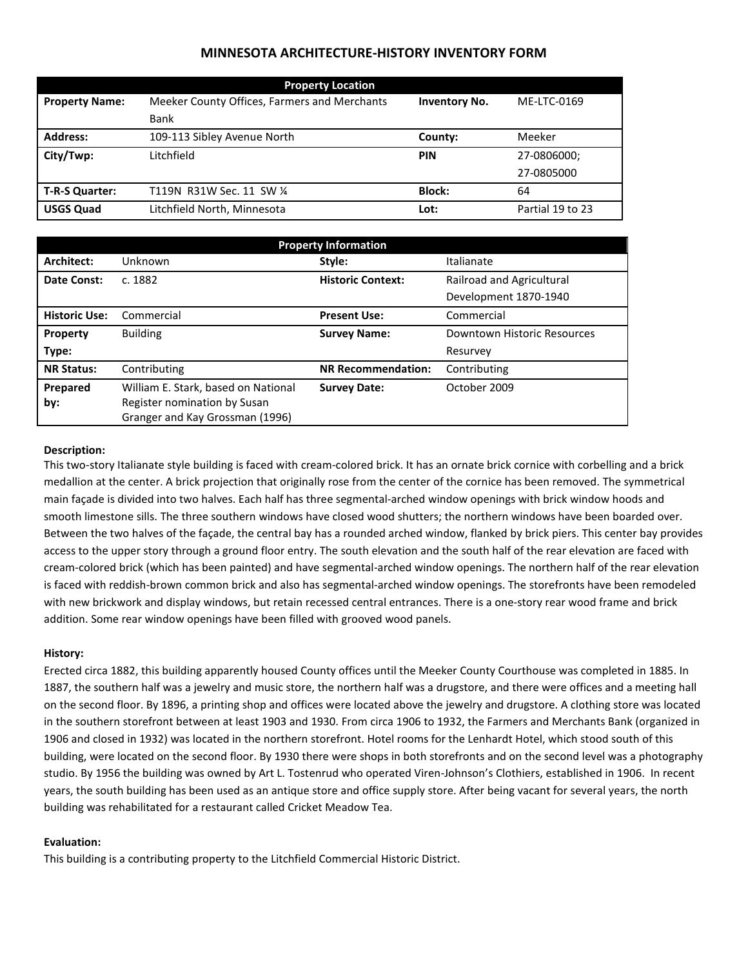# **MINNESOTA ARCHITECTURE-HISTORY INVENTORY FORM**

| <b>Property Location</b> |                                              |                      |                  |  |  |
|--------------------------|----------------------------------------------|----------------------|------------------|--|--|
| <b>Property Name:</b>    | Meeker County Offices, Farmers and Merchants | <b>Inventory No.</b> | ME-LTC-0169      |  |  |
|                          | Bank                                         |                      |                  |  |  |
| <b>Address:</b>          | 109-113 Sibley Avenue North                  | County:              | Meeker           |  |  |
| City/Twp:                | Litchfield                                   | <b>PIN</b>           | 27-0806000;      |  |  |
|                          |                                              |                      | 27-0805000       |  |  |
| <b>T-R-S Quarter:</b>    | T119N R31W Sec. 11 SW 1/4                    | <b>Block:</b>        | 64               |  |  |
| <b>USGS Quad</b>         | Litchfield North, Minnesota                  | Lot:                 | Partial 19 to 23 |  |  |

| <b>Property Information</b> |                                                                 |                           |                             |  |
|-----------------------------|-----------------------------------------------------------------|---------------------------|-----------------------------|--|
| Architect:                  | Unknown                                                         | Style:                    | Italianate                  |  |
| Date Const:                 | c. 1882                                                         | <b>Historic Context:</b>  | Railroad and Agricultural   |  |
|                             |                                                                 |                           | Development 1870-1940       |  |
| <b>Historic Use:</b>        | Commercial                                                      | <b>Present Use:</b>       | Commercial                  |  |
| Property                    | <b>Building</b>                                                 | <b>Survey Name:</b>       | Downtown Historic Resources |  |
| Type:                       |                                                                 |                           | Resurvey                    |  |
| <b>NR Status:</b>           | Contributing                                                    | <b>NR Recommendation:</b> | Contributing                |  |
| Prepared                    | William E. Stark, based on National                             | <b>Survey Date:</b>       | October 2009                |  |
| by:                         | Register nomination by Susan<br>Granger and Kay Grossman (1996) |                           |                             |  |

## **Description:**

This two-story Italianate style building is faced with cream-colored brick. It has an ornate brick cornice with corbelling and a brick medallion at the center. A brick projection that originally rose from the center of the cornice has been removed. The symmetrical main façade is divided into two halves. Each half has three segmental-arched window openings with brick window hoods and smooth limestone sills. The three southern windows have closed wood shutters; the northern windows have been boarded over. Between the two halves of the façade, the central bay has a rounded arched window, flanked by brick piers. This center bay provides access to the upper story through a ground floor entry. The south elevation and the south half of the rear elevation are faced with cream-colored brick (which has been painted) and have segmental-arched window openings. The northern half of the rear elevation is faced with reddish-brown common brick and also has segmental-arched window openings. The storefronts have been remodeled with new brickwork and display windows, but retain recessed central entrances. There is a one-story rear wood frame and brick addition. Some rear window openings have been filled with grooved wood panels.

#### **History:**

Erected circa 1882, this building apparently housed County offices until the Meeker County Courthouse was completed in 1885. In 1887, the southern half was a jewelry and music store, the northern half was a drugstore, and there were offices and a meeting hall on the second floor. By 1896, a printing shop and offices were located above the jewelry and drugstore. A clothing store was located in the southern storefront between at least 1903 and 1930. From circa 1906 to 1932, the Farmers and Merchants Bank (organized in 1906 and closed in 1932) was located in the northern storefront. Hotel rooms for the Lenhardt Hotel, which stood south of this building, were located on the second floor. By 1930 there were shops in both storefronts and on the second level was a photography studio. By 1956 the building was owned by Art L. Tostenrud who operated Viren-Johnson's Clothiers, established in 1906. In recent years, the south building has been used as an antique store and office supply store. After being vacant for several years, the north building was rehabilitated for a restaurant called Cricket Meadow Tea.

### **Evaluation:**

This building is a contributing property to the Litchfield Commercial Historic District.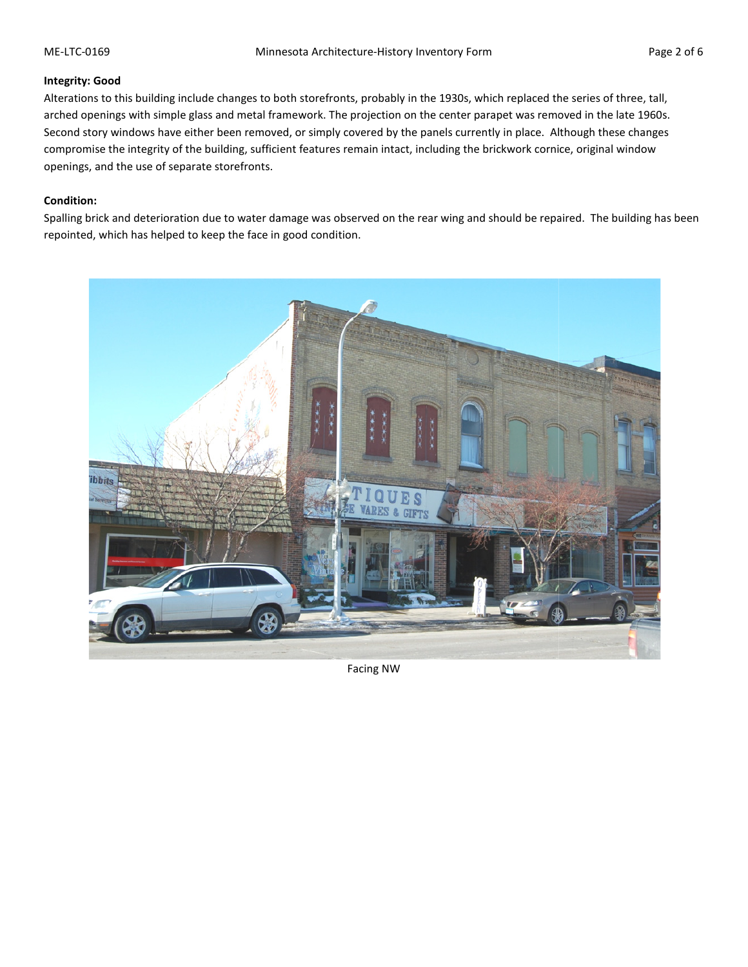## **Integrity: Good**

Alterations to this building include changes to both storefronts, probably in the 1930s, which replaced the series of three, tall, Alterations to this building include changes to both storefronts, probably in the 1930s, which replaced the series of three, tall,<br>arched openings with simple glass and metal framework. The projection on the center parapet Second story windows have either been removed, or simply covered by the panels currently in place. Although these changes compromise the integrity of the building, sufficient features remain intact, including the brickwork cornice, original window openings, and the use of separate storefronts. Second story windows have either been removed, or simply covered by the panels currently in place. Although these changes<br>compromise the integrity of the building, sufficient features remain intact, including the brickwork

## **Condition:**

repointed, which has helped to keep the face in good condition.

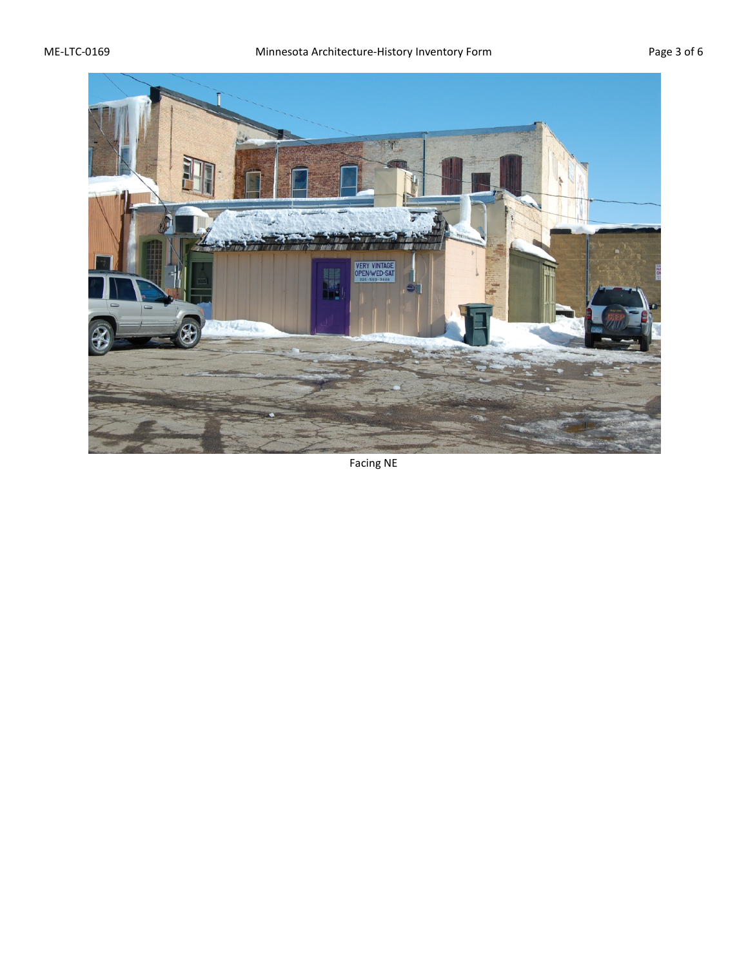

Facing NE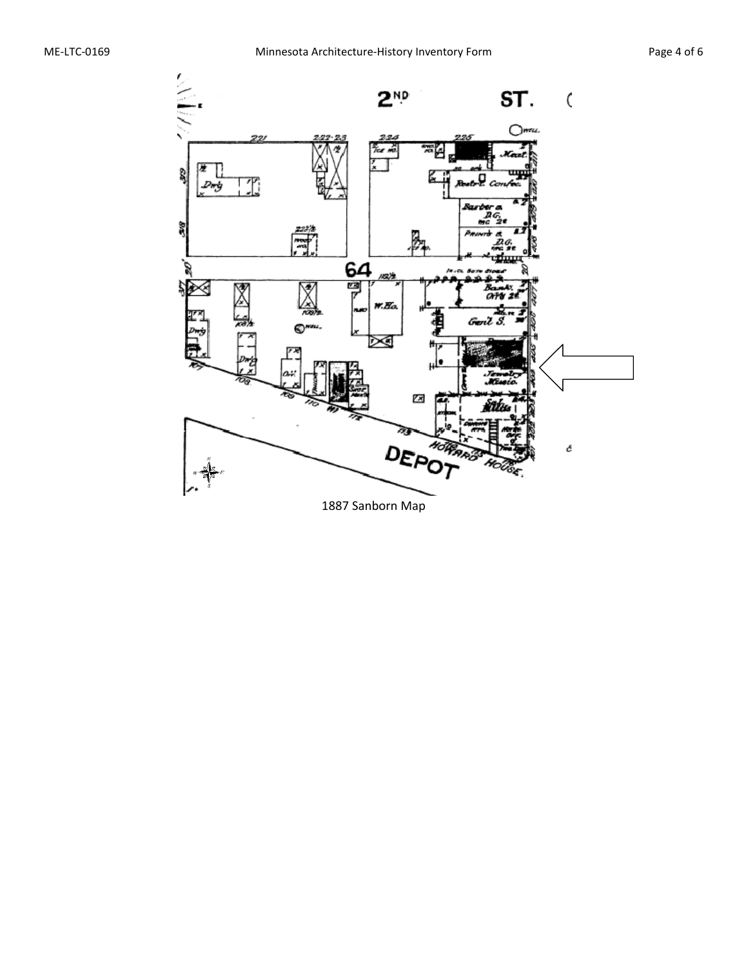

1887 Sanborn Map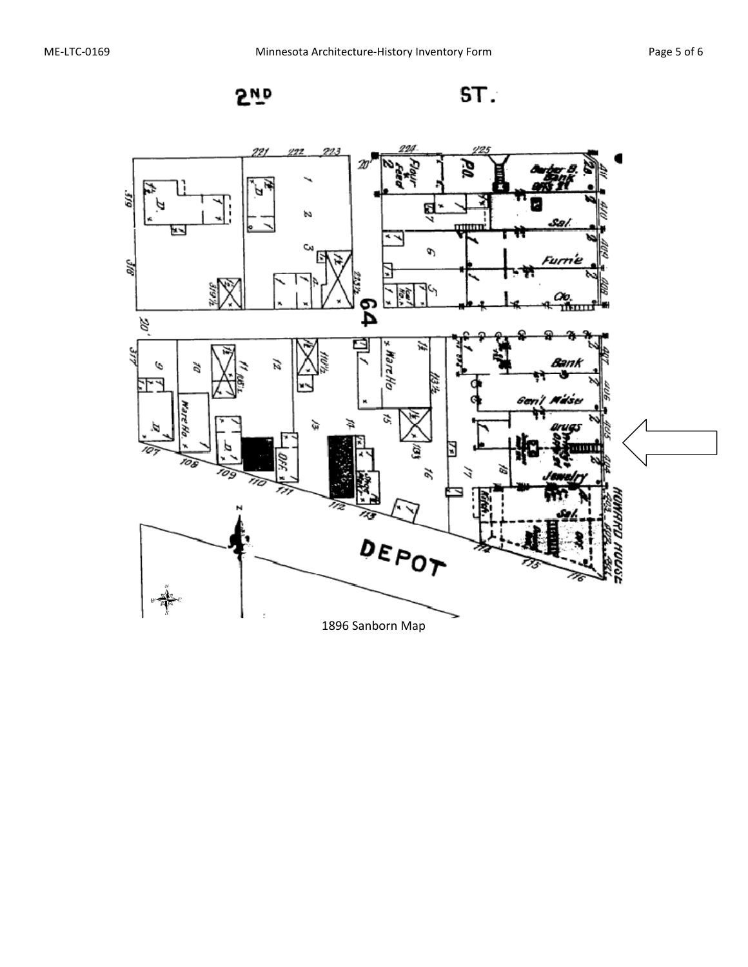